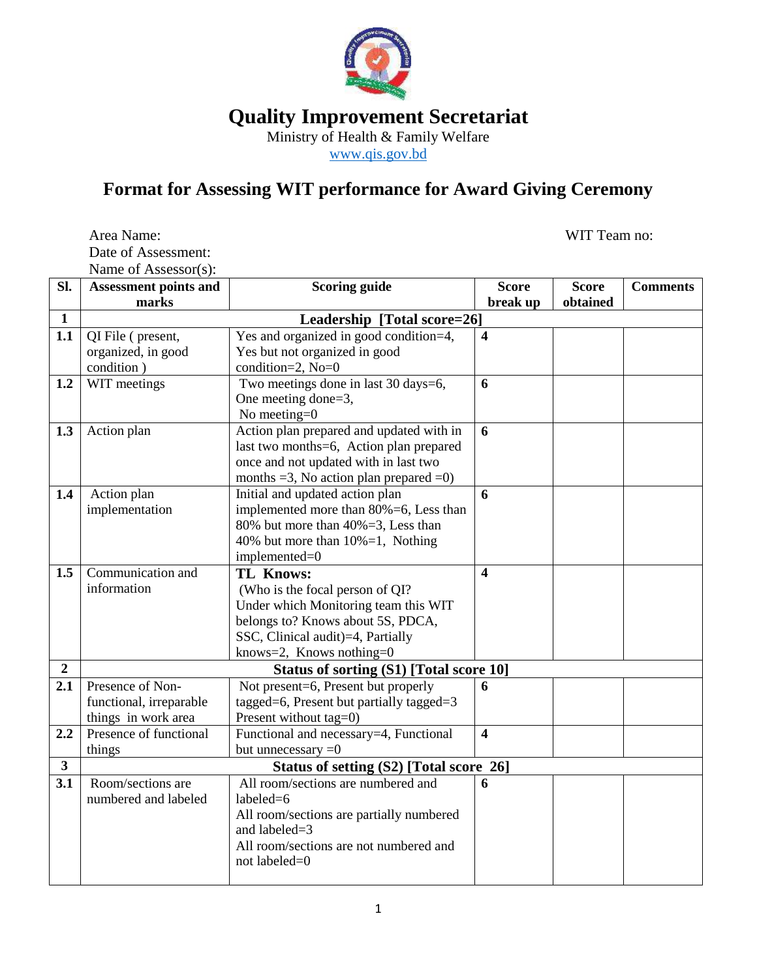

**Quality Improvement Secretariat**

Ministry of Health & Family Welfare

[www.qis.gov.bd](http://www.qis.gov.bd/)

## **Format for Assessing WIT performance for Award Giving Ceremony**

Area Name: WIT Team no: Date of Assessment: Name of Assessor(s):

| SI.              | THATTLE OF LABOUDDUL(D).<br><b>Assessment points and</b> | <b>Scoring guide</b>                                      | <b>Score</b>            | <b>Score</b> | <b>Comments</b> |  |  |
|------------------|----------------------------------------------------------|-----------------------------------------------------------|-------------------------|--------------|-----------------|--|--|
|                  | marks                                                    |                                                           | break up                | obtained     |                 |  |  |
| $\mathbf{1}$     | Leadership [Total score=26]                              |                                                           |                         |              |                 |  |  |
| 1.1              | QI File (present,                                        | Yes and organized in good condition=4,                    | $\overline{\mathbf{4}}$ |              |                 |  |  |
|                  | organized, in good                                       | Yes but not organized in good                             |                         |              |                 |  |  |
|                  | condition)                                               | condition=2, No=0                                         |                         |              |                 |  |  |
| 1.2              | WIT meetings                                             | Two meetings done in last 30 days=6,                      | 6                       |              |                 |  |  |
|                  |                                                          | One meeting done=3,                                       |                         |              |                 |  |  |
|                  |                                                          | No meeting= $0$                                           |                         |              |                 |  |  |
| 1.3              | Action plan                                              | Action plan prepared and updated with in                  | 6                       |              |                 |  |  |
|                  |                                                          | last two months=6, Action plan prepared                   |                         |              |                 |  |  |
|                  |                                                          | once and not updated with in last two                     |                         |              |                 |  |  |
|                  |                                                          | months $=3$ , No action plan prepared $=0$ )              |                         |              |                 |  |  |
| 1.4              | Action plan                                              | Initial and updated action plan                           | 6                       |              |                 |  |  |
|                  | implementation                                           | implemented more than 80%=6, Less than                    |                         |              |                 |  |  |
|                  |                                                          | 80% but more than 40%=3, Less than                        |                         |              |                 |  |  |
|                  |                                                          | 40% but more than 10%=1, Nothing                          |                         |              |                 |  |  |
|                  |                                                          | implemented=0                                             |                         |              |                 |  |  |
| 1.5              | Communication and                                        | <b>TL Knows:</b>                                          | $\overline{\mathbf{4}}$ |              |                 |  |  |
|                  | information                                              | (Who is the focal person of QI?                           |                         |              |                 |  |  |
|                  |                                                          | Under which Monitoring team this WIT                      |                         |              |                 |  |  |
|                  |                                                          | belongs to? Knows about 5S, PDCA,                         |                         |              |                 |  |  |
|                  |                                                          | SSC, Clinical audit)=4, Partially                         |                         |              |                 |  |  |
|                  |                                                          | knows=2, Knows nothing= $0$                               |                         |              |                 |  |  |
| $\boldsymbol{2}$ | Status of sorting (S1) [Total score 10]                  |                                                           |                         |              |                 |  |  |
| 2.1              | Presence of Non-                                         | Not present=6, Present but properly                       | 6                       |              |                 |  |  |
|                  | functional, irreparable                                  | tagged=6, Present but partially tagged=3                  |                         |              |                 |  |  |
|                  | things in work area                                      | Present without tag=0)                                    |                         |              |                 |  |  |
| 2.2              | Presence of functional                                   | Functional and necessary=4, Functional                    | $\overline{\mathbf{4}}$ |              |                 |  |  |
|                  | things                                                   | but unnecessary $=0$                                      |                         |              |                 |  |  |
| $\mathbf{3}$     | Status of setting (S2) [Total score 26]                  |                                                           |                         |              |                 |  |  |
| 3.1              | Room/sections are                                        | All room/sections are numbered and                        | 6                       |              |                 |  |  |
|                  | numbered and labeled                                     | labeled=6                                                 |                         |              |                 |  |  |
|                  |                                                          | All room/sections are partially numbered<br>and labeled=3 |                         |              |                 |  |  |
|                  |                                                          | All room/sections are not numbered and                    |                         |              |                 |  |  |
|                  |                                                          | not labeled=0                                             |                         |              |                 |  |  |
|                  |                                                          |                                                           |                         |              |                 |  |  |
|                  |                                                          |                                                           |                         |              |                 |  |  |